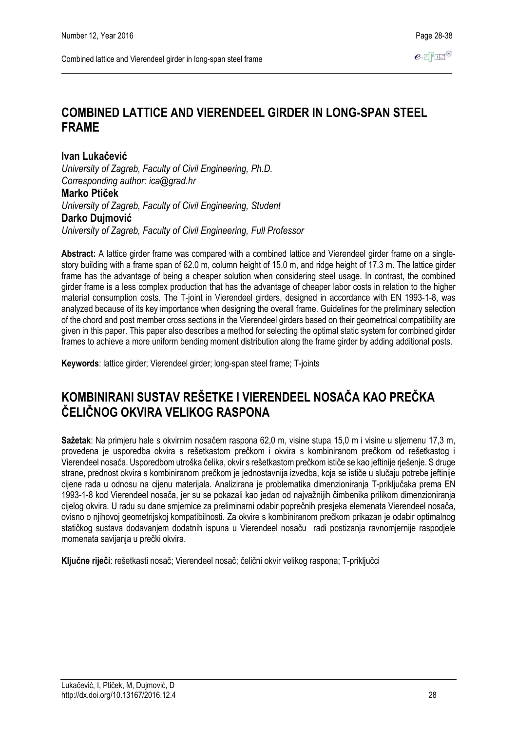# **COMBINED LATTICE AND VIERENDEEL GIRDER IN LONG-SPAN STEEL FRAME**

**Ivan Lukačević**

*University of Zagreb, Faculty of Civil Engineering, Ph.D. Corresponding author: ica@grad.hr* **Marko Ptiček** *University of Zagreb, Faculty of Civil Engineering, Student* **Darko Dujmović**

*University of Zagreb, Faculty of Civil Engineering, Full Professor*

**Abstract:** A lattice girder frame was compared with a combined lattice and Vierendeel girder frame on a singlestory building with a frame span of 62.0 m, column height of 15.0 m, and ridge height of 17.3 m. The lattice girder frame has the advantage of being a cheaper solution when considering steel usage. In contrast, the combined girder frame is a less complex production that has the advantage of cheaper labor costs in relation to the higher material consumption costs. The T-joint in Vierendeel girders, designed in accordance with EN 1993-1-8, was analyzed because of its key importance when designing the overall frame. Guidelines for the preliminary selection of the chord and post member cross sections in the Vierendeel girders based on their geometrical compatibility are given in this paper. This paper also describes a method for selecting the optimal static system for combined girder frames to achieve a more uniform bending moment distribution along the frame girder by adding additional posts.

**Keywords**: lattice girder; Vierendeel girder; long-span steel frame; T-joints

# **KOMBINIRANI SUSTAV REŠETKE I VIERENDEEL NOSAČA KAO PREČKA ČELIČNOG OKVIRA VELIKOG RASPONA**

**Sažetak**: Na primjeru hale s okvirnim nosačem raspona 62,0 m, visine stupa 15,0 m i visine u sljemenu 17,3 m, provedena je usporedba okvira s rešetkastom prečkom i okvira s kombiniranom prečkom od rešetkastog i Vierendeel nosača. Usporedbom utroška čelika, okvir s rešetkastom prečkom ističe se kao jeftinije rješenje. S druge strane, prednost okvira s kombiniranom prečkom je jednostavnija izvedba, koja se ističe u slučaju potrebe jeftinije cijene rada u odnosu na cijenu materijala. Analizirana je problematika dimenzioniranja T-priključaka prema EN 1993-1-8 kod Vierendeel nosača, jer su se pokazali kao jedan od najvažnijih čimbenika prilikom dimenzioniranja cijelog okvira. U radu su dane smjernice za preliminarni odabir poprečnih presjeka elemenata Vierendeel nosača, ovisno o njihovoj geometrijskoj kompatibilnosti. Za okvire s kombiniranom prečkom prikazan je odabir optimalnog statičkog sustava dodavanjem dodatnih ispuna u Vierendeel nosaču radi postizanja ravnomjernije raspodjele momenata savijanja u prečki okvira.

**Ključne riječi**: rešetkasti nosač; Vierendeel nosač; čelični okvir velikog raspona; T-priključci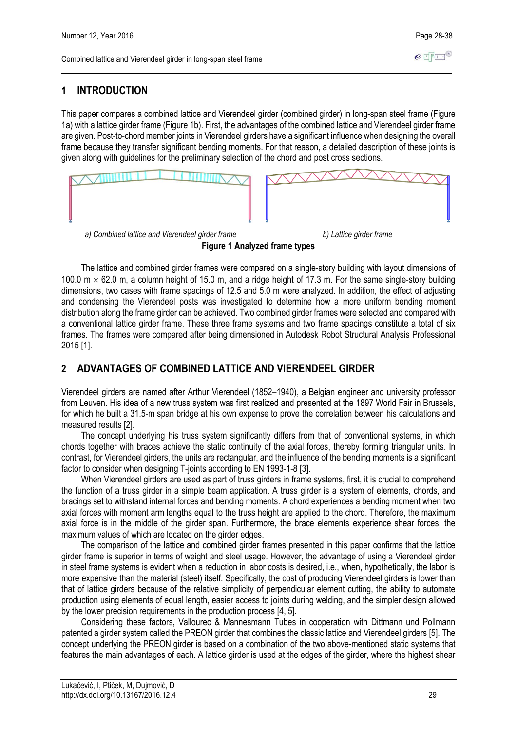### **1 INTRODUCTION**

This paper compares a combined lattice and Vierendeel girder (combined girder) in long-span steel frame (Figure 1a) with a lattice girder frame (Figure 1b). First, the advantages of the combined lattice and Vierendeel girder frame are given. Post-to-chord member joints in Vierendeel girders have a significant influence when designing the overall frame because they transfer significant bending moments. For that reason, a detailed description of these joints is given along with guidelines for the preliminary selection of the chord and post cross sections.



**Figure 1 Analyzed frame types**

The lattice and combined girder frames were compared on a single-story building with layout dimensions of 100.0  $m \times 62.0$  m, a column height of 15.0 m, and a ridge height of 17.3 m. For the same single-story building dimensions, two cases with frame spacings of 12.5 and 5.0 m were analyzed. In addition, the effect of adjusting and condensing the Vierendeel posts was investigated to determine how a more uniform bending moment distribution along the frame girder can be achieved. Two combined girder frames were selected and compared with a conventional lattice girder frame. These three frame systems and two frame spacings constitute a total of six frames. The frames were compared after being dimensioned in Autodesk Robot Structural Analysis Professional 2015 [1].

### **2 ADVANTAGES OF COMBINED LATTICE AND VIERENDEEL GIRDER**

Vierendeel girders are named after Arthur Vierendeel (1852–1940), a Belgian engineer and university professor from Leuven. His idea of a new truss system was first realized and presented at the 1897 World Fair in Brussels, for which he built a 31.5-m span bridge at his own expense to prove the correlation between his calculations and measured results [2].

The concept underlying his truss system significantly differs from that of conventional systems, in which chords together with braces achieve the static continuity of the axial forces, thereby forming triangular units. In contrast, for Vierendeel girders, the units are rectangular, and the influence of the bending moments is a significant factor to consider when designing T-joints according to EN 1993-1-8 [3].

When Vierendeel girders are used as part of truss girders in frame systems, first, it is crucial to comprehend the function of a truss girder in a simple beam application. A truss girder is a system of elements, chords, and bracings set to withstand internal forces and bending moments. A chord experiences a bending moment when two axial forces with moment arm lengths equal to the truss height are applied to the chord. Therefore, the maximum axial force is in the middle of the girder span. Furthermore, the brace elements experience shear forces, the maximum values of which are located on the girder edges.

The comparison of the lattice and combined girder frames presented in this paper confirms that the lattice girder frame is superior in terms of weight and steel usage. However, the advantage of using a Vierendeel girder in steel frame systems is evident when a reduction in labor costs is desired, i.e., when, hypothetically, the labor is more expensive than the material (steel) itself. Specifically, the cost of producing Vierendeel girders is lower than that of lattice girders because of the relative simplicity of perpendicular element cutting, the ability to automate production using elements of equal length, easier access to joints during welding, and the simpler design allowed by the lower precision requirements in the production process [4, 5].

Considering these factors, Vallourec & Mannesmann Tubes in cooperation with Dittmann und Pollmann patented a girder system called the PREON girder that combines the classic lattice and Vierendeel girders [5]. The concept underlying the PREON girder is based on a combination of the two above-mentioned static systems that features the main advantages of each. A lattice girder is used at the edges of the girder, where the highest shear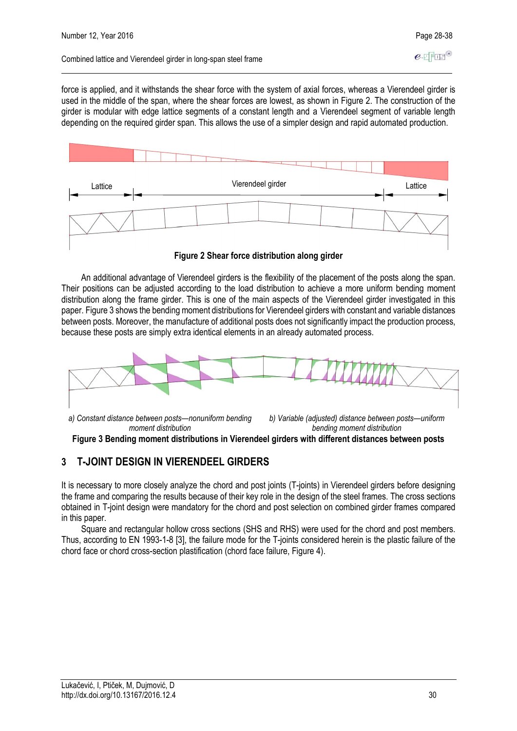force is applied, and it withstands the shear force with the system of axial forces, whereas a Vierendeel girder is used in the middle of the span, where the shear forces are lowest, as shown in Figure 2. The construction of the girder is modular with edge lattice segments of a constant length and a Vierendeel segment of variable length depending on the required girder span. This allows the use of a simpler design and rapid automated production.



**Figure 2 Shear force distribution along girder**

An additional advantage of Vierendeel girders is the flexibility of the placement of the posts along the span. Their positions can be adjusted according to the load distribution to achieve a more uniform bending moment distribution along the frame girder. This is one of the main aspects of the Vierendeel girder investigated in this paper. Figure 3 shows the bending moment distributions for Vierendeel girders with constant and variable distances between posts. Moreover, the manufacture of additional posts does not significantly impact the production process, because these posts are simply extra identical elements in an already automated process.



**Figure 3 Bending moment distributions in Vierendeel girders with different distances between posts**

### **3 T-JOINT DESIGN IN VIERENDEEL GIRDERS**

It is necessary to more closely analyze the chord and post joints (T-joints) in Vierendeel girders before designing the frame and comparing the results because of their key role in the design of the steel frames. The cross sections obtained in T-joint design were mandatory for the chord and post selection on combined girder frames compared in this paper.

Square and rectangular hollow cross sections (SHS and RHS) were used for the chord and post members. Thus, according to EN 1993-1-8 [3], the failure mode for the T-joints considered herein is the plastic failure of the chord face or chord cross-section plastification (chord face failure, Figure 4).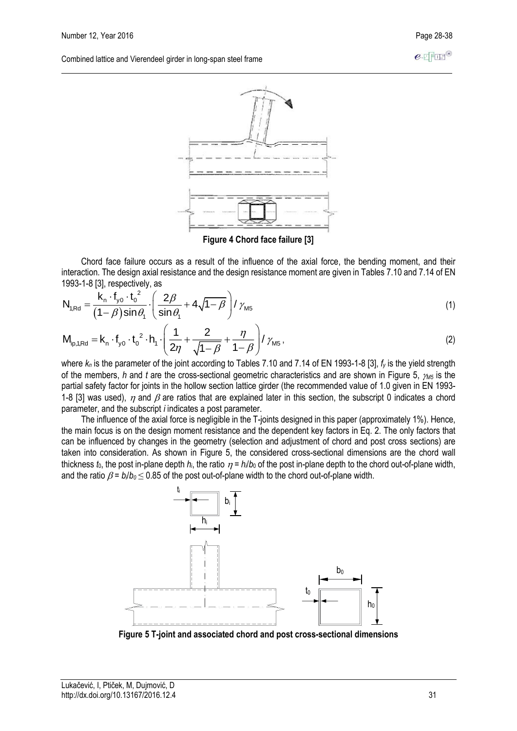$e$ -FFFF<sup>®</sup>

Combined lattice and Vierendeel girder in long-span steel frame



**Figure 4 Chord face failure [3]**

Chord face failure occurs as a result of the influence of the axial force, the bending moment, and their interaction. The design axial resistance and the design resistance moment are given in Tables 7.10 and 7.14 of EN<br>1993-1-8 [3], respectively, as<br>  $N = \frac{k_n \cdot f_{y0} \cdot t_0^2}{r^2} \cdot \left(\frac{2\beta}{r^2} + 4\sqrt{1-\beta}\right)/\gamma}$  (1) 1993-1-8 [3], respectively, as<br>
N  $-\frac{k_n \cdot f_{y0} \cdot t_0^2}{r^2}$ 

1993-1-8 [3], respectively, as  
\n
$$
N_{1, \text{Rd}} = \frac{k_{n} \cdot f_{y0} \cdot t_{0}^{2}}{(1-\beta)\sin\theta_{1}} \cdot \left(\frac{2\beta}{\sin\theta_{1}} + 4\sqrt{1-\beta}\right) / \gamma_{M5}
$$
\n
$$
M = k_{1}, f_{2}, f_{3}, \left(\frac{1}{1} + \frac{2}{1-\beta}\right) / \gamma_{M5}
$$
\n(1)

$$
N_{1, Rd} = \frac{1}{(1 - \beta)\sin\theta_1} \left( \frac{1}{\sin\theta_1} + 4\sqrt{1 - \beta} \right) / \gamma_{M5}
$$
\n
$$
M_{1p, 1, Rd} = K_n \cdot f_{y0} \cdot t_0^2 \cdot h_1 \cdot \left( \frac{1}{2\eta} + \frac{2}{\sqrt{1 - \beta}} + \frac{\eta}{1 - \beta} \right) / \gamma_{M5},
$$
\n
$$
(2)
$$
\nwhere *l* is the sequence of the joint coordinate *T*-plane *T* is  $12.14 \text{ of } \text{FN} \cdot 1000^2 \cdot 10^{121} \cdot 10^{121} \cdot 10^{121} \cdot 10^{121} \cdot 10^{121} \cdot 10^{121} \cdot 10^{121} \cdot 10^{121} \cdot 10^{121} \cdot 10^{121} \cdot 10^{121} \cdot 10^{121} \cdot 10^{121} \cdot 10^{121} \cdot 10^{121} \cdot 10^{121} \cdot 10^{121} \cdot 10^{121} \cdot 10^{121} \cdot 10^{121} \cdot 10^{121} \cdot 10^{121} \cdot 10^{121} \cdot 10^{121} \cdot 10^{121} \cdot 10^{121} \cdot 10^{121} \cdot 10^{121} \cdot 10^{121} \cdot 10^{121} \cdot 10^{121} \cdot 10^{121} \cdot 10^{121} \cdot 10^{121} \cdot 10^{121} \cdot 10^{121} \cdot 10^{121} \cdot 10^{121} \cdot 10^{121} \cdot 10^{121} \cdot 10^{121} \cdot 10^{121} \cdot 10^{121} \cdot 10^{121} \cdot 10^{121} \cdot 10^{121} \cdot 10^{121} \cdot 10^{121} \cdot 10^{121} \cdot 10^{121} \cdot 10^{121} \cdot 10^{121} \cdot 10^{121} \cdot 1$ 

where *k<sup>n</sup>* is the parameter of the joint according to Tables 7.10 and 7.14 of EN 1993-1-8 [3], *f<sup>y</sup>* is the yield strength of the members, *h* and *t* are the cross-sectional geometric characteristics and are shown in Figure 5, *M5* is the partial safety factor for joints in the hollow section lattice girder (the recommended value of 1.0 given in EN 1993- 1-8 [3] was used),  $\eta$  and  $\beta$  are ratios that are explained later in this section, the subscript 0 indicates a chord parameter, and the subscript *i* indicates a post parameter.

The influence of the axial force is negligible in the T-joints designed in this paper (approximately 1%). Hence, the main focus is on the design moment resistance and the dependent key factors in Eq. 2. The only factors that can be influenced by changes in the geometry (selection and adjustment of chord and post cross sections) are taken into consideration. As shown in Figure 5, the considered cross-sectional dimensions are the chord wall thickness  $t_0$ , the post in-plane depth  $h_i$ , the ratio  $\eta = h/b_0$  of the post in-plane depth to the chord out-of-plane width, and the ratio  $\beta = b/b_0 \le 0.85$  of the post out-of-plane width to the chord out-of-plane width.



**Figure 5 T-joint and associated chord and post cross-sectional dimensions**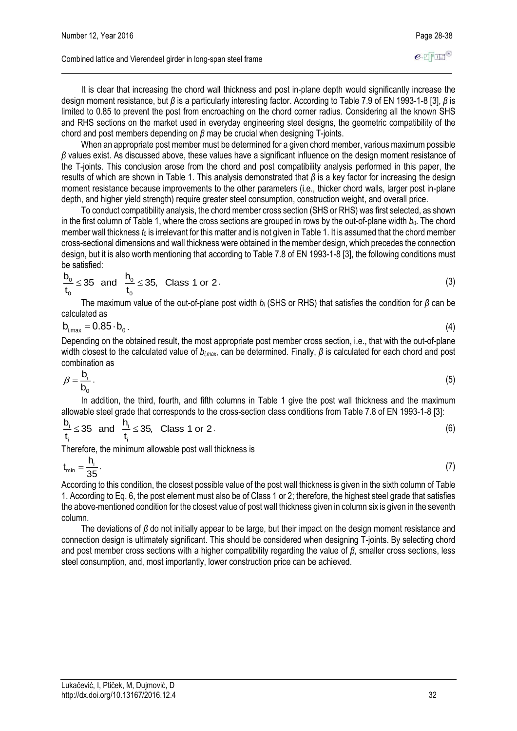It is clear that increasing the chord wall thickness and post in-plane depth would significantly increase the design moment resistance, but *β* is a particularly interesting factor. According to Table 7.9 of EN 1993-1-8 [3], *β* is limited to 0.85 to prevent the post from encroaching on the chord corner radius. Considering all the known SHS and RHS sections on the market used in everyday engineering steel designs, the geometric compatibility of the chord and post members depending on *β* may be crucial when designing T-joints.

When an appropriate post member must be determined for a given chord member, various maximum possible *β* values exist. As discussed above, these values have a significant influence on the design moment resistance of the T-joints. This conclusion arose from the chord and post compatibility analysis performed in this paper, the results of which are shown in Table 1. This analysis demonstrated that *β* is a key factor for increasing the design moment resistance because improvements to the other parameters (i.e., thicker chord walls, larger post in-plane depth, and higher yield strength) require greater steel consumption, construction weight, and overall price.

To conduct compatibility analysis, the chord member cross section (SHS or RHS) was first selected, as shown in the first column of Table 1, where the cross sections are grouped in rows by the out-of-plane width  $b_0$ . The chord member wall thickness  $t_0$  is irrelevant for this matter and is not given in Table 1. It is assumed that the chord member cross-sectional dimensions and wall thickness were obtained in the member design, which precedes the connection design, but it is also worth mentioning that according to Table 7.8 of EN 1993-1-8 [3], the following conditions must be satisfied:

be satisfied:  
\n
$$
\frac{b_0}{t_0} \le 35 \text{ and } \frac{h_0}{t_0} \le 35, \text{ Class 1 or 2.}
$$
\n(3)

The maximum value of the out-of-plane post width *b<sup>i</sup>* (SHS or RHS) that satisfies the condition for *β* can be calculated as

$$
b_{i,max} = 0.85 \cdot b_0 \tag{4}
$$

Depending on the obtained result, the most appropriate post member cross section, i.e., that with the out-of-plane width closest to the calculated value of *bi,max*, can be determined. Finally, *β* is calculated for each chord and post combination as

$$
\beta = \frac{\mathsf{b}_i}{\mathsf{b}_0} \,. \tag{5}
$$

In addition, the third, fourth, and fifth columns in Table 1 give the post wall thickness and the maximum

allowable steel grade that corresponds to the cross-section class conditions from Table 7.8 of EN 1993-1-8 [3]:  
\n
$$
\frac{b_i}{t_i} \le 35 \text{ and } \frac{h_i}{t_i} \le 35, \text{ Class 1 or 2.}
$$
\n(6)

Therefore, the minimum allowable post wall thickness is

$$
t_{\min} = \frac{h_i}{35} \,. \tag{7}
$$

According to this condition, the closest possible value of the post wall thickness is given in the sixth column of Table 1. According to Eq. 6, the post element must also be of Class 1 or 2; therefore, the highest steel grade that satisfies the above-mentioned condition for the closest value of post wall thickness given in column six is given in the seventh column.

The deviations of *β* do not initially appear to be large, but their impact on the design moment resistance and connection design is ultimately significant. This should be considered when designing T-joints. By selecting chord and post member cross sections with a higher compatibility regarding the value of *β*, smaller cross sections, less steel consumption, and, most importantly, lower construction price can be achieved.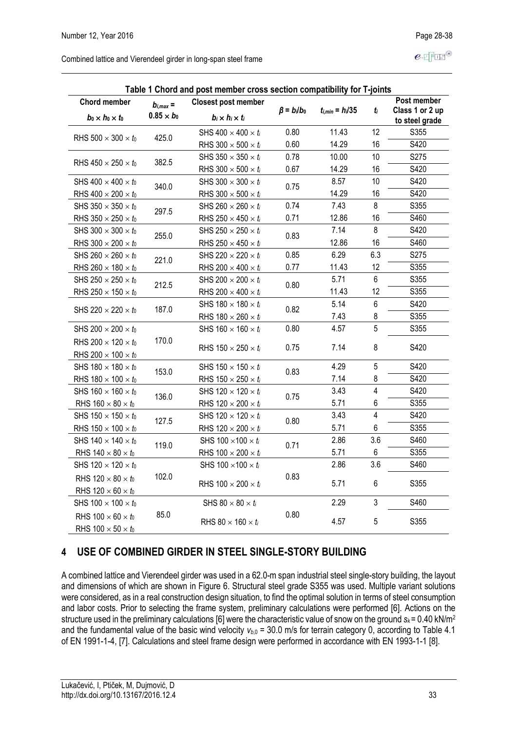$e$ -FFIF®

| Combined lattice and Vierendeel girder in long-span steel frame |  |
|-----------------------------------------------------------------|--|
|-----------------------------------------------------------------|--|

| Table 1 Chord and post member cross section compatibility for T-joints |                                    |                                                           |                   |                      |                         |                                                  |  |  |  |
|------------------------------------------------------------------------|------------------------------------|-----------------------------------------------------------|-------------------|----------------------|-------------------------|--------------------------------------------------|--|--|--|
| <b>Chord member</b><br>$b_0 \times h_0 \times t_0$                     | $b_{i,max} =$<br>$0.85 \times b_0$ | <b>Closest post member</b><br>$b_i \times h_i \times t_i$ | $\beta = b_i/b_0$ | $t_{i,min} = h_i/35$ | $t_i$                   | Post member<br>Class 1 or 2 up<br>to steel grade |  |  |  |
|                                                                        | 425.0                              | SHS $400 \times 400 \times t_i$                           | 0.80              | 11.43                | 12                      | S355                                             |  |  |  |
| RHS 500 $\times$ 300 $\times$ to                                       |                                    | RHS 300 $\times$ 500 $\times$ ti                          | 0.60              | 14.29                | 16                      | S420                                             |  |  |  |
| RHS $450 \times 250 \times t_0$                                        | 382.5                              | SHS 350 $\times$ 350 $\times$ t <sub>i</sub>              | 0.78              | 10.00                | 10                      | S275                                             |  |  |  |
|                                                                        |                                    | RHS 300 $\times$ 500 $\times$ ti                          | 0.67              | 14.29                | 16                      | S420                                             |  |  |  |
| SHS $400 \times 400 \times t_0$                                        | 340.0                              | SHS 300 $\times$ 300 $\times$ ti                          | 0.75              | 8.57                 | 10                      | S420                                             |  |  |  |
| RHS $400 \times 200 \times t_0$                                        |                                    | RHS 300 $\times$ 500 $\times$ t <sub>i</sub>              |                   | 14.29                | 16                      | S420                                             |  |  |  |
| SHS 350 $\times$ 350 $\times$ to                                       | 297.5                              | SHS 260 $\times$ 260 $\times$ ti                          | 0.74              | 7.43                 | 8                       | S355                                             |  |  |  |
| RHS 350 $\times$ 250 $\times$ to                                       |                                    | RHS 250 $\times$ 450 $\times$ ti                          | 0.71              | 12.86                | 16                      | S460                                             |  |  |  |
| SHS 300 $\times$ 300 $\times$ to                                       | 255.0                              | SHS 250 $\times$ 250 $\times$ t <sub>i</sub>              | 0.83              | 7.14                 | 8                       | S420                                             |  |  |  |
| RHS 300 $\times$ 200 $\times$ $t_0$                                    |                                    | RHS 250 $\times$ 450 $\times$ t <sub>i</sub>              |                   | 12.86                | 16                      | S460                                             |  |  |  |
| SHS 260 $\times$ 260 $\times$ to                                       | 221.0                              | SHS 220 $\times$ 220 $\times$ ti                          | 0.85              | 6.29                 | 6.3                     | S275                                             |  |  |  |
| RHS 260 $\times$ 180 $\times$ to                                       |                                    | RHS 200 $\times$ 400 $\times$ t <sub>i</sub>              | 0.77              | 11.43                | 12                      | S355                                             |  |  |  |
| SHS 250 $\times$ 250 $\times$ to                                       | 212.5                              | SHS 200 $\times$ 200 $\times$ $t_i$                       | 0.80              | 5.71                 | 6                       | S355                                             |  |  |  |
| RHS 250 $\times$ 150 $\times$ to                                       |                                    | RHS 200 $\times$ 400 $\times$ ti                          |                   | 11.43                | 12                      | S355                                             |  |  |  |
|                                                                        | 187.0                              | SHS 180 $\times$ 180 $\times$ ti                          |                   | 5.14                 | 6                       | S420                                             |  |  |  |
| SHS 220 $\times$ 220 $\times$ $t_0$                                    |                                    | RHS $180 \times 260 \times t_i$                           | 0.82              | 7.43                 | 8                       | S355                                             |  |  |  |
| SHS 200 $\times$ 200 $\times$ to                                       |                                    | SHS $160 \times 160 \times t_i$                           | 0.80              | 4.57                 | 5                       | S355                                             |  |  |  |
| RHS 200 $\times$ 120 $\times$ to<br>RHS 200 $\times$ 100 $\times$ to   | 170.0                              | RHS 150 $\times$ 250 $\times$ t <sub>i</sub>              | 0.75              | 7.14                 | 8                       | S420                                             |  |  |  |
| SHS 180 $\times$ 180 $\times$ to                                       |                                    | SHS 150 $\times$ 150 $\times$ ti                          |                   | 4.29                 | 5                       | S420                                             |  |  |  |
| RHS $180 \times 100 \times t_0$                                        | 153.0                              | RHS $150 \times 250 \times t_i$                           | 0.83              | 7.14                 | 8                       | S420                                             |  |  |  |
| SHS $160 \times 160 \times t_0$                                        |                                    | SHS 120 $\times$ 120 $\times$ ti                          |                   | 3.43                 | 4                       | S420                                             |  |  |  |
| RHS $160 \times 80 \times t_0$                                         | 136.0                              | RHS $120 \times 200 \times t_i$                           | 0.75              | 5.71                 | 6                       | S355                                             |  |  |  |
| SHS $150 \times 150 \times t_0$                                        |                                    | SHS 120 $\times$ 120 $\times$ $t_i$                       |                   | 3.43                 | $\overline{\mathbf{4}}$ | S420                                             |  |  |  |
| RHS $150 \times 100 \times t_0$                                        | 127.5                              | RHS 120 $\times$ 200 $\times$ ti                          | 0.80              | 5.71                 | 6                       | S355                                             |  |  |  |
| SHS $140 \times 140 \times t_0$                                        |                                    | SHS 100 $\times$ 100 $\times$ ti                          |                   | 2.86                 | 3.6                     | S460                                             |  |  |  |
| RHS $140 \times 80 \times t_0$                                         | 119.0                              | RHS $100 \times 200 \times t_i$                           | 0.71              | 5.71                 | 6                       | S355                                             |  |  |  |
| SHS $120 \times 120 \times t_0$                                        |                                    | SHS 100 $\times$ 100 $\times$ ti                          |                   | 2.86                 | 3.6                     | S460                                             |  |  |  |
| RHS $120 \times 80 \times t_0$<br>RHS $120 \times 60 \times t_0$       | 102.0                              | RHS $100 \times 200 \times t_i$                           | 0.83              | 5.71                 | 6                       | S355                                             |  |  |  |
| SHS $100 \times 100 \times t_0$                                        |                                    | SHS 80 $\times$ 80 $\times$ t <sub>i</sub>                |                   | 2.29                 | 3                       | S460                                             |  |  |  |
| RHS $100 \times 60 \times t_0$<br>RHS $100 \times 50 \times t_0$       | 85.0                               | RHS 80 $\times$ 160 $\times$ ti                           | 0.80              | 4.57                 | 5                       | S355                                             |  |  |  |

## **4 USE OF COMBINED GIRDER IN STEEL SINGLE-STORY BUILDING**

A combined lattice and Vierendeel girder was used in a 62.0-m span industrial steel single-story building, the layout and dimensions of which are shown in Figure 6. Structural steel grade S355 was used. Multiple variant solutions were considered, as in a real construction design situation, to find the optimal solution in terms of steel consumption and labor costs. Prior to selecting the frame system, preliminary calculations were performed [6]. Actions on the structure used in the preliminary calculations [6] were the characteristic value of snow on the ground *sk*= 0.40 kN/m<sup>2</sup> and the fundamental value of the basic wind velocity  $v_{b,0}$  = 30.0 m/s for terrain category 0, according to Table 4.1 of EN 1991-1-4, [7]. Calculations and steel frame design were performed in accordance with EN 1993-1-1 [8].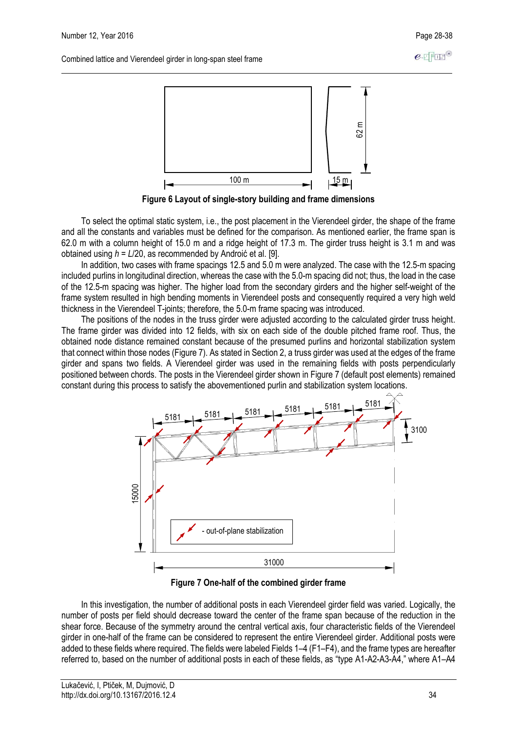

**Figure 6 Layout of single-story building and frame dimensions**

To select the optimal static system, i.e., the post placement in the Vierendeel girder, the shape of the frame and all the constants and variables must be defined for the comparison. As mentioned earlier, the frame span is 62.0 m with a column height of 15.0 m and a ridge height of 17.3 m. The girder truss height is 3.1 m and was obtained using *h* = *L*/20, as recommended by Androić et al. [9].

In addition, two cases with frame spacings 12.5 and 5.0 m were analyzed. The case with the 12.5-m spacing included purlins in longitudinal direction, whereas the case with the 5.0-m spacing did not; thus, the load in the case of the 12.5-m spacing was higher. The higher load from the secondary girders and the higher self-weight of the frame system resulted in high bending moments in Vierendeel posts and consequently required a very high weld thickness in the Vierendeel T-joints; therefore, the 5.0-m frame spacing was introduced.

The positions of the nodes in the truss girder were adjusted according to the calculated girder truss height. The frame girder was divided into 12 fields, with six on each side of the double pitched frame roof. Thus, the obtained node distance remained constant because of the presumed purlins and horizontal stabilization system that connect within those nodes (Figure 7). As stated in Section 2, a truss girder was used at the edges of the frame girder and spans two fields. A Vierendeel girder was used in the remaining fields with posts perpendicularly positioned between chords. The posts in the Vierendeel girder shown in Figure 7 (default post elements) remained constant during this process to satisfy the abovementioned purlin and stabilization system locations.



**Figure 7 One-half of the combined girder frame**

In this investigation, the number of additional posts in each Vierendeel girder field was varied. Logically, the number of posts per field should decrease toward the center of the frame span because of the reduction in the shear force. Because of the symmetry around the central vertical axis, four characteristic fields of the Vierendeel girder in one-half of the frame can be considered to represent the entire Vierendeel girder. Additional posts were added to these fields where required. The fields were labeled Fields 1–4 (F1–F4), and the frame types are hereafter referred to, based on the number of additional posts in each of these fields, as "type A1-A2-A3-A4," where A1–A4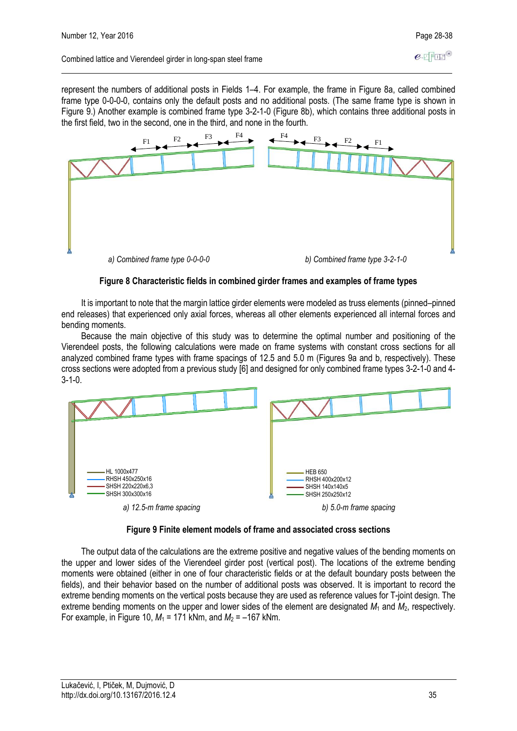represent the numbers of additional posts in Fields 1–4. For example, the frame in Figure 8a, called combined frame type 0-0-0-0, contains only the default posts and no additional posts. (The same frame type is shown in Figure 9.) Another example is combined frame type 3-2-1-0 (Figure 8b), which contains three additional posts in the first field, two in the second, one in the third, and none in the fourth.



### **Figure 8 Characteristic fields in combined girder frames and examples of frame types**

It is important to note that the margin lattice girder elements were modeled as truss elements (pinned–pinned end releases) that experienced only axial forces, whereas all other elements experienced all internal forces and bending moments.

Because the main objective of this study was to determine the optimal number and positioning of the Vierendeel posts, the following calculations were made on frame systems with constant cross sections for all analyzed combined frame types with frame spacings of 12.5 and 5.0 m (Figures 9a and b, respectively). These cross sections were adopted from a previous study [6] and designed for only combined frame types 3-2-1-0 and 4- 3-1-0.



### **Figure 9 Finite element models of frame and associated cross sections**

The output data of the calculations are the extreme positive and negative values of the bending moments on the upper and lower sides of the Vierendeel girder post (vertical post). The locations of the extreme bending moments were obtained (either in one of four characteristic fields or at the default boundary posts between the fields), and their behavior based on the number of additional posts was observed. It is important to record the extreme bending moments on the vertical posts because they are used as reference values for T-joint design. The extreme bending moments on the upper and lower sides of the element are designated *M*<sup>1</sup> and *M*2, respectively. For example, in Figure 10,  $M_1$  = 171 kNm, and  $M_2$  = -167 kNm.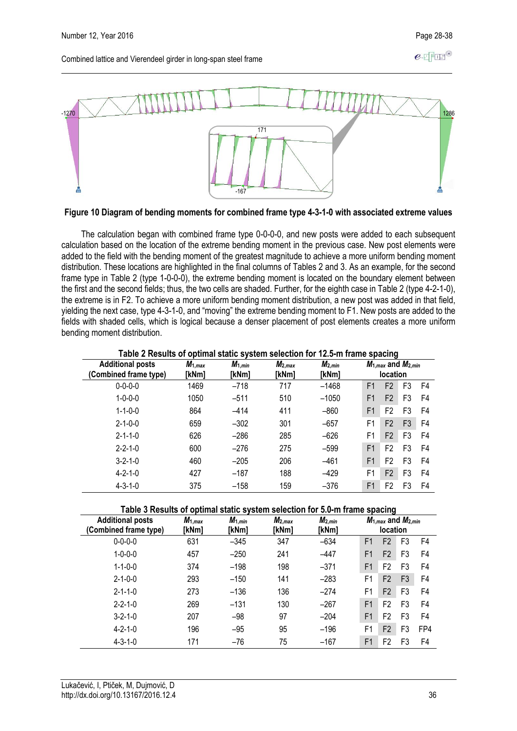

**Figure 10 Diagram of bending moments for combined frame type 4-3-1-0 with associated extreme values**

The calculation began with combined frame type 0-0-0-0, and new posts were added to each subsequent calculation based on the location of the extreme bending moment in the previous case. New post elements were added to the field with the bending moment of the greatest magnitude to achieve a more uniform bending moment distribution. These locations are highlighted in the final columns of Tables 2 and 3. As an example, for the second frame type in Table 2 (type 1-0-0-0), the extreme bending moment is located on the boundary element between the first and the second fields; thus, the two cells are shaded. Further, for the eighth case in Table 2 (type 4-2-1-0), the extreme is in F2. To achieve a more uniform bending moment distribution, a new post was added in that field, yielding the next case, type 4-3-1-0, and "moving" the extreme bending moment to F1. New posts are added to the fields with shaded cells, which is logical because a denser placement of post elements creates a more uniform bending moment distribution.

**Table 2 Results of optimal static system selection for 12.5-m frame spacing**

| <b>Additional posts</b><br>(Combined frame type) | - r -<br>$M_{1,max}$<br>[kNm] | $M_{1,min}$<br>[kNm] | $M_{2,max}$<br>[kNm] | $M_{2,min}$<br>[kNm] |                | - 3<br>$M_{1,max}$ and $M_{2,min}$<br><b>location</b> |                |    |
|--------------------------------------------------|-------------------------------|----------------------|----------------------|----------------------|----------------|-------------------------------------------------------|----------------|----|
| $0 - 0 - 0 - 0$                                  | 1469                          | $-718$               | 717                  | $-1468$              | F <sub>1</sub> | F <sub>2</sub>                                        | F <sub>3</sub> | F4 |
| $1 - 0 - 0 - 0$                                  | 1050                          | $-511$               | 510                  | $-1050$              | F <sub>1</sub> | F <sub>2</sub>                                        | F <sub>3</sub> | F4 |
| $1 - 1 - 0 - 0$                                  | 864                           | $-414$               | 411                  | $-860$               | F <sub>1</sub> | F <sub>2</sub>                                        | F3             | F4 |
| $2 - 1 - 0 - 0$                                  | 659                           | $-302$               | 301                  | $-657$               | F1             | F <sub>2</sub>                                        | F3             | F4 |
| $2 - 1 - 1 - 0$                                  | 626                           | $-286$               | 285                  | $-626$               | F1             | F <sub>2</sub>                                        | F <sub>3</sub> | F4 |
| $2 - 2 - 1 - 0$                                  | 600                           | $-276$               | 275                  | $-599$               | F <sub>1</sub> | F <sub>2</sub>                                        | F <sub>3</sub> | F4 |
| $3 - 2 - 1 - 0$                                  | 460                           | $-205$               | 206                  | $-461$               | F <sub>1</sub> | F <sub>2</sub>                                        | F <sub>3</sub> | F4 |
| $4 - 2 - 1 - 0$                                  | 427                           | $-187$               | 188                  | $-429$               | F1             | F <sub>2</sub>                                        | F <sub>3</sub> | F4 |
| $4 - 3 - 1 - 0$                                  | 375                           | $-158$               | 159                  | $-376$               | F <sub>1</sub> | F2                                                    | F3             | F4 |

**Table 3 Results of optimal static system selection for 5.0-m frame spacing**

| <b>Additional posts</b><br>(Combined frame type) | $M_{1,max}$<br>[kNm] | $M_{1,min}$<br>[kNm] | $M_{2,max}$<br>[kNm] | $M_{2,min}$<br>[kNm] |                | $M_{1,max}$ and $M_{2,min}$<br><b>location</b> |                |     |
|--------------------------------------------------|----------------------|----------------------|----------------------|----------------------|----------------|------------------------------------------------|----------------|-----|
| $0 - 0 - 0 - 0$                                  | 631                  | $-345$               | 347                  | $-634$               | F <sub>1</sub> | F <sub>2</sub>                                 | F <sub>3</sub> | F4  |
| $1 - 0 - 0 - 0$                                  | 457                  | $-250$               | 241                  | $-447$               | F1             | F <sub>2</sub>                                 | F3             | F4  |
| $1 - 1 - 0 - 0$                                  | 374                  | $-198$               | 198                  | $-371$               | F <sub>1</sub> | F2                                             | F3             | F4  |
| $2 - 1 - 0 - 0$                                  | 293                  | $-150$               | 141                  | $-283$               | F1             | F <sub>2</sub>                                 | F <sub>3</sub> | F4  |
| $2 - 1 - 1 - 0$                                  | 273                  | $-136$               | 136                  | $-274$               | F1             | F <sub>2</sub>                                 | F <sub>3</sub> | F4  |
| $2 - 2 - 1 - 0$                                  | 269                  | $-131$               | 130                  | $-267$               | F <sub>1</sub> | F2                                             | F <sub>3</sub> | F4  |
| $3 - 2 - 1 - 0$                                  | 207                  | $-98$                | 97                   | $-204$               | F <sub>1</sub> | F2                                             | F <sub>3</sub> | F4  |
| $4 - 2 - 1 - 0$                                  | 196                  | $-95$                | 95                   | $-196$               | F1             | F <sub>2</sub>                                 | F <sub>3</sub> | FP4 |
| $4 - 3 - 1 - 0$                                  | 171                  | $-76$                | 75                   | $-167$               | F <sub>1</sub> | F2                                             | F3             | F4  |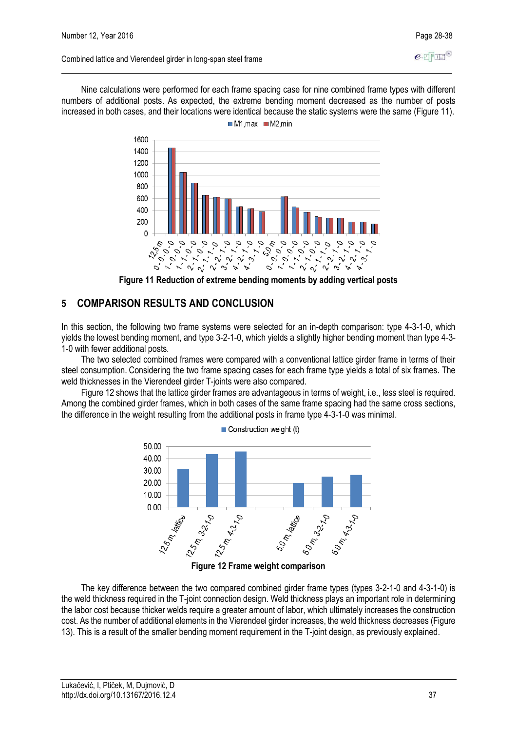$e$ -T $F$ IE

Nine calculations were performed for each frame spacing case for nine combined frame types with different numbers of additional posts. As expected, the extreme bending moment decreased as the number of posts increased in both cases, and their locations were identical because the static systems were the same (Figure 11).  $M1 \text{ max}$  M2.min



### **5 COMPARISON RESULTS AND CONCLUSION**

In this section, the following two frame systems were selected for an in-depth comparison: type 4-3-1-0, which yields the lowest bending moment, and type 3-2-1-0, which yields a slightly higher bending moment than type 4-3- 1-0 with fewer additional posts.

The two selected combined frames were compared with a conventional lattice girder frame in terms of their steel consumption. Considering the two frame spacing cases for each frame type yields a total of six frames. The weld thicknesses in the Vierendeel girder T-joints were also compared.

Figure 12 shows that the lattice girder frames are advantageous in terms of weight, i.e., less steel is required. Among the combined girder frames, which in both cases of the same frame spacing had the same cross sections, the difference in the weight resulting from the additional posts in frame type 4-3-1-0 was minimal.

 $\blacksquare$  Construction weight (t)



**Figure 12 Frame weight comparison**

The key difference between the two compared combined girder frame types (types 3-2-1-0 and 4-3-1-0) is the weld thickness required in the T-joint connection design. Weld thickness plays an important role in determining the labor cost because thicker welds require a greater amount of labor, which ultimately increases the construction cost. As the number of additional elements in the Vierendeel girder increases, the weld thickness decreases (Figure 13). This is a result of the smaller bending moment requirement in the T-joint design, as previously explained.